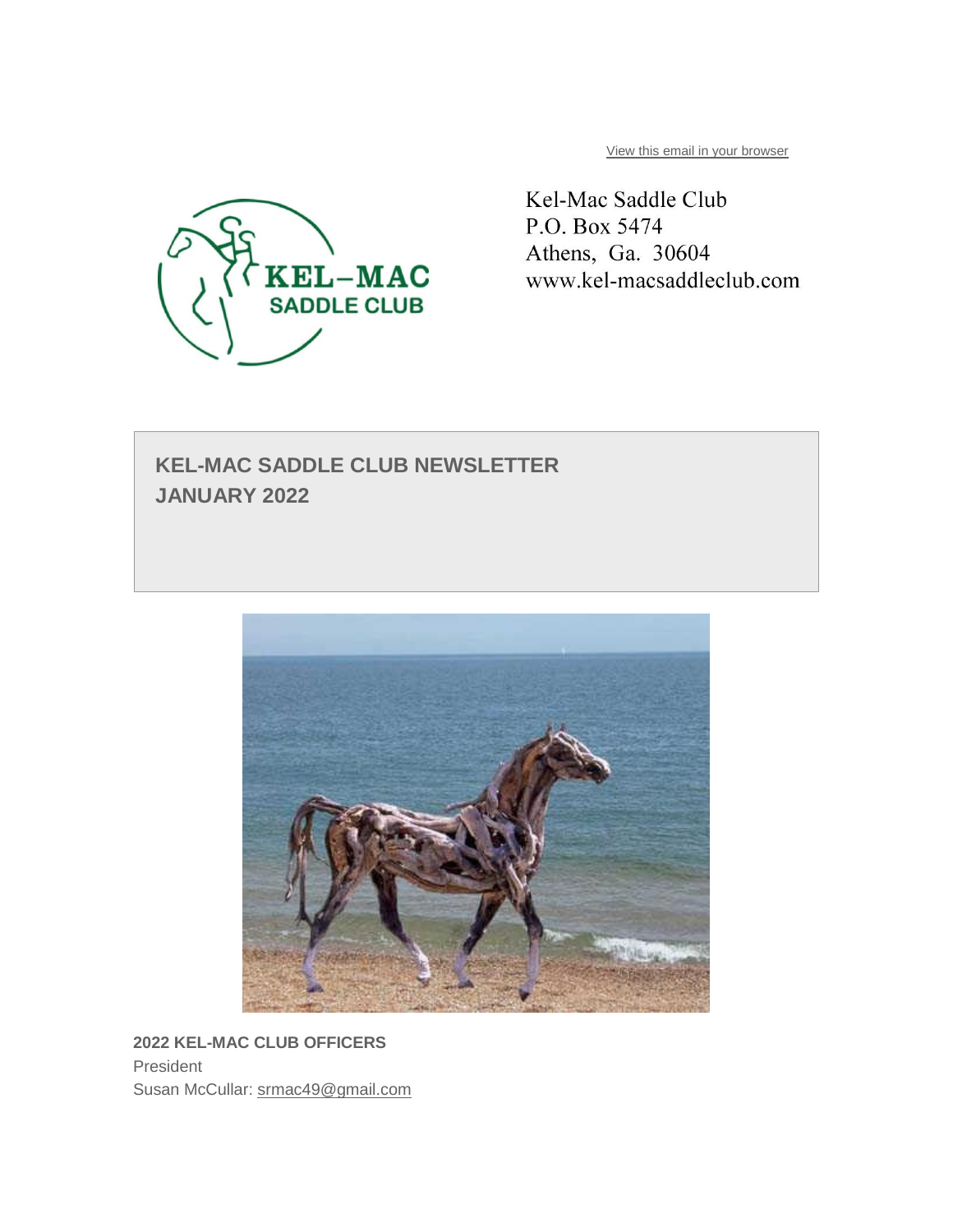

[View this email in your browser](https://mailchi.mp/f83f4bcdb90d/kel-mac-saddle-club-newsletter-january-2022?e=9579edd11e)

Kel-Mac Saddle Club P.O. Box 5474 Athens, Ga. 30604 www.kel-macsaddleclub.com

# **KEL-MAC SADDLE CLUB NEWSLETTER JANUARY 2022**



**2022 KEL-MAC CLUB OFFICERS** President Susan McCullar: [srmac49@gmail.com](mailto:srmac49@gmail.com)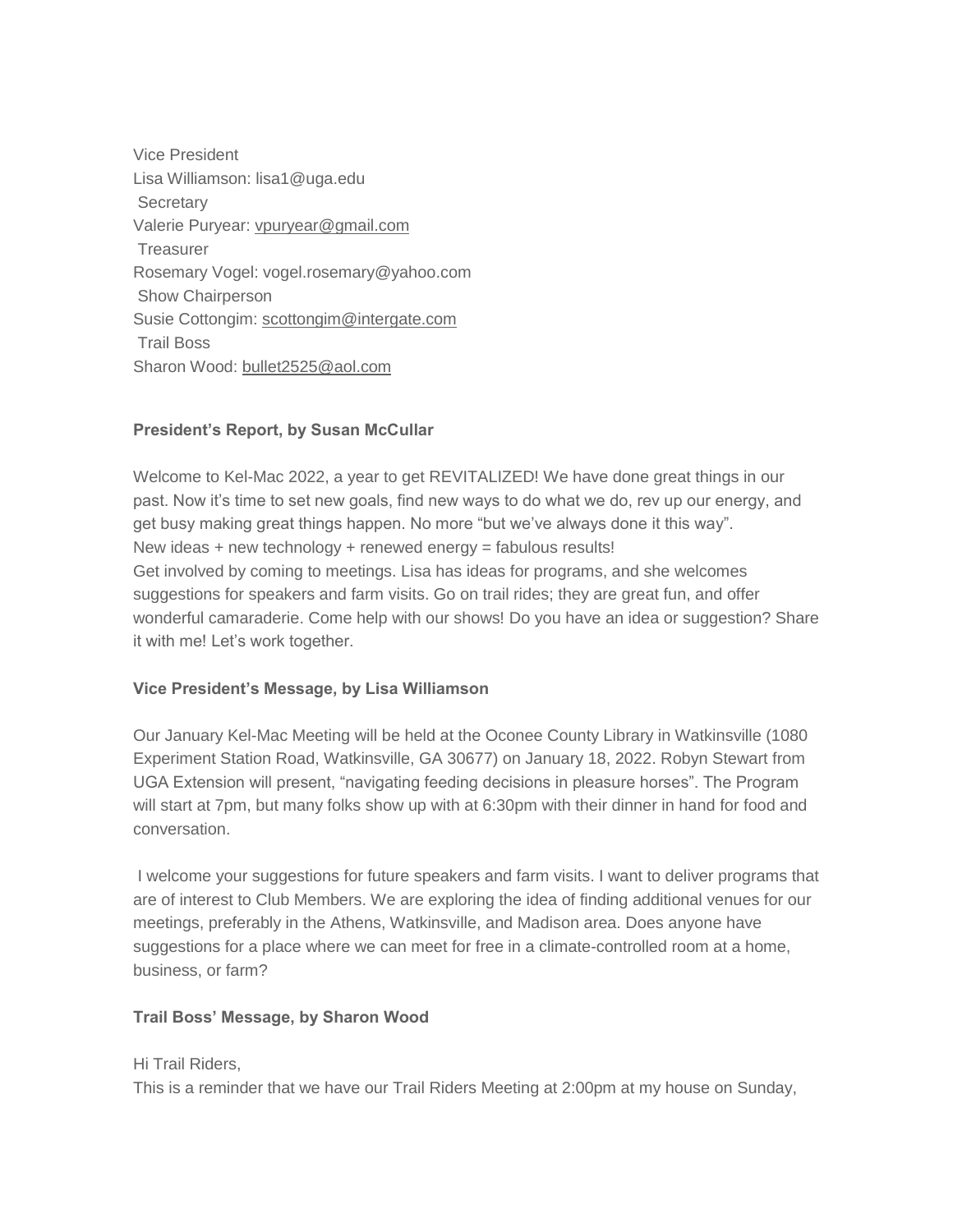Vice President Lisa Williamson: lisa1@uga.edu **Secretary** Valerie Puryear: [vpuryear@gmail.com](mailto:vpuryear@gmail.com) **Treasurer** Rosemary Vogel: vogel.rosemary@yahoo.com Show Chairperson Susie Cottongim: [scottongim@intergate.com](mailto:scottongim@intergate.com) Trail Boss Sharon Wood: [bullet2525@aol.com](mailto:bullet2525@aol.com)

# **President's Report, by Susan McCullar**

Welcome to Kel-Mac 2022, a year to get REVITALIZED! We have done great things in our past. Now it's time to set new goals, find new ways to do what we do, rev up our energy, and get busy making great things happen. No more "but we've always done it this way". New ideas + new technology + renewed energy = fabulous results! Get involved by coming to meetings. Lisa has ideas for programs, and she welcomes suggestions for speakers and farm visits. Go on trail rides; they are great fun, and offer wonderful camaraderie. Come help with our shows! Do you have an idea or suggestion? Share it with me! Let's work together.

# **Vice President's Message, by Lisa Williamson**

Our January Kel-Mac Meeting will be held at the Oconee County Library in Watkinsville (1080 Experiment Station Road, Watkinsville, GA 30677) on January 18, 2022. Robyn Stewart from UGA Extension will present, "navigating feeding decisions in pleasure horses". The Program will start at 7pm, but many folks show up with at 6:30pm with their dinner in hand for food and conversation.

I welcome your suggestions for future speakers and farm visits. I want to deliver programs that are of interest to Club Members. We are exploring the idea of finding additional venues for our meetings, preferably in the Athens, Watkinsville, and Madison area. Does anyone have suggestions for a place where we can meet for free in a climate-controlled room at a home, business, or farm?

# **Trail Boss' Message, by Sharon Wood**

# Hi Trail Riders,

This is a reminder that we have our Trail Riders Meeting at 2:00pm at my house on Sunday,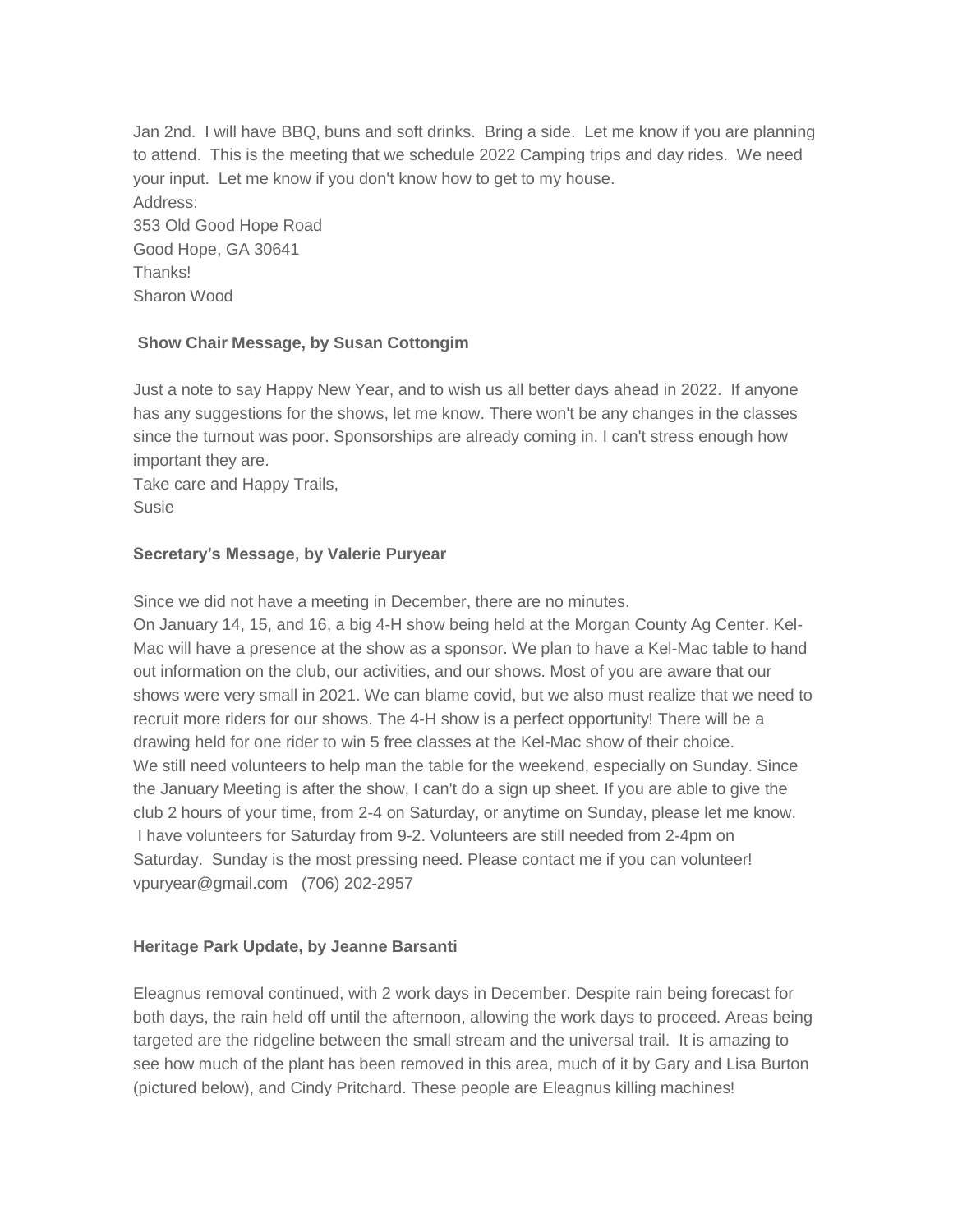Jan 2nd. I will have BBQ, buns and soft drinks. Bring a side. Let me know if you are planning to attend. This is the meeting that we schedule 2022 Camping trips and day rides. We need your input. Let me know if you don't know how to get to my house. Address: 353 Old Good Hope Road Good Hope, GA 30641 Thanks! Sharon Wood

# **Show Chair Message, by Susan Cottongim**

Just a note to say Happy New Year, and to wish us all better days ahead in 2022. If anyone has any suggestions for the shows, let me know. There won't be any changes in the classes since the turnout was poor. Sponsorships are already coming in. I can't stress enough how important they are.

Take care and Happy Trails, Susie

# **Secretary's Message, by Valerie Puryear**

Since we did not have a meeting in December, there are no minutes.

On January 14, 15, and 16, a big 4-H show being held at the Morgan County Ag Center. Kel-Mac will have a presence at the show as a sponsor. We plan to have a Kel-Mac table to hand out information on the club, our activities, and our shows. Most of you are aware that our shows were very small in 2021. We can blame covid, but we also must realize that we need to recruit more riders for our shows. The 4-H show is a perfect opportunity! There will be a drawing held for one rider to win 5 free classes at the Kel-Mac show of their choice. We still need volunteers to help man the table for the weekend, especially on Sunday. Since the January Meeting is after the show, I can't do a sign up sheet. If you are able to give the club 2 hours of your time, from 2-4 on Saturday, or anytime on Sunday, please let me know. I have volunteers for Saturday from 9-2. Volunteers are still needed from 2-4pm on Saturday. Sunday is the most pressing need. Please contact me if you can volunteer! vpuryear@gmail.com (706) 202-2957

# **Heritage Park Update, by Jeanne Barsanti**

Eleagnus removal continued, with 2 work days in December. Despite rain being forecast for both days, the rain held off until the afternoon, allowing the work days to proceed. Areas being targeted are the ridgeline between the small stream and the universal trail. It is amazing to see how much of the plant has been removed in this area, much of it by Gary and Lisa Burton (pictured below), and Cindy Pritchard. These people are Eleagnus killing machines!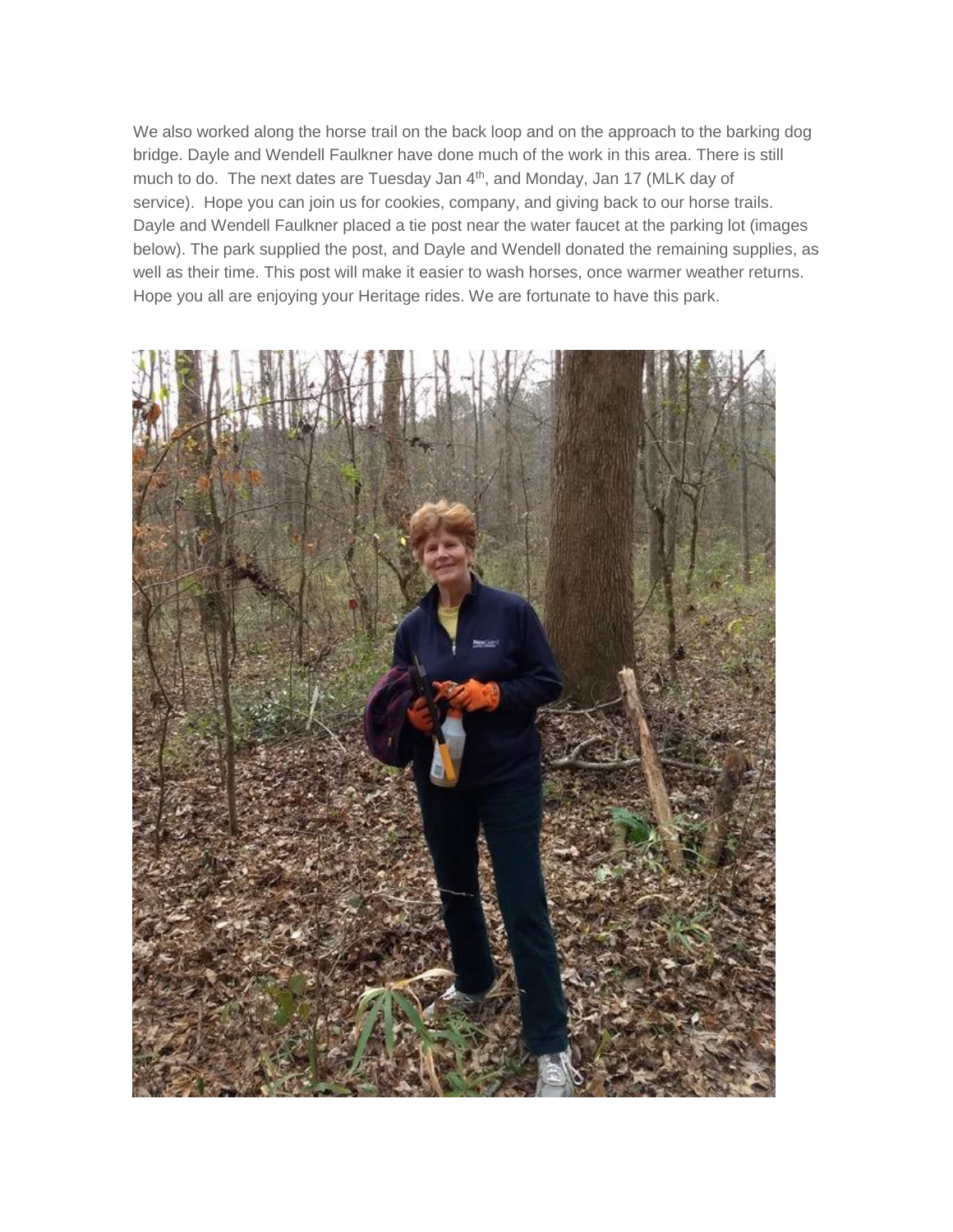We also worked along the horse trail on the back loop and on the approach to the barking dog bridge. Dayle and Wendell Faulkner have done much of the work in this area. There is still much to do. The next dates are Tuesday Jan 4<sup>th</sup>, and Monday, Jan 17 (MLK day of service). Hope you can join us for cookies, company, and giving back to our horse trails. Dayle and Wendell Faulkner placed a tie post near the water faucet at the parking lot (images below). The park supplied the post, and Dayle and Wendell donated the remaining supplies, as well as their time. This post will make it easier to wash horses, once warmer weather returns. Hope you all are enjoying your Heritage rides. We are fortunate to have this park.

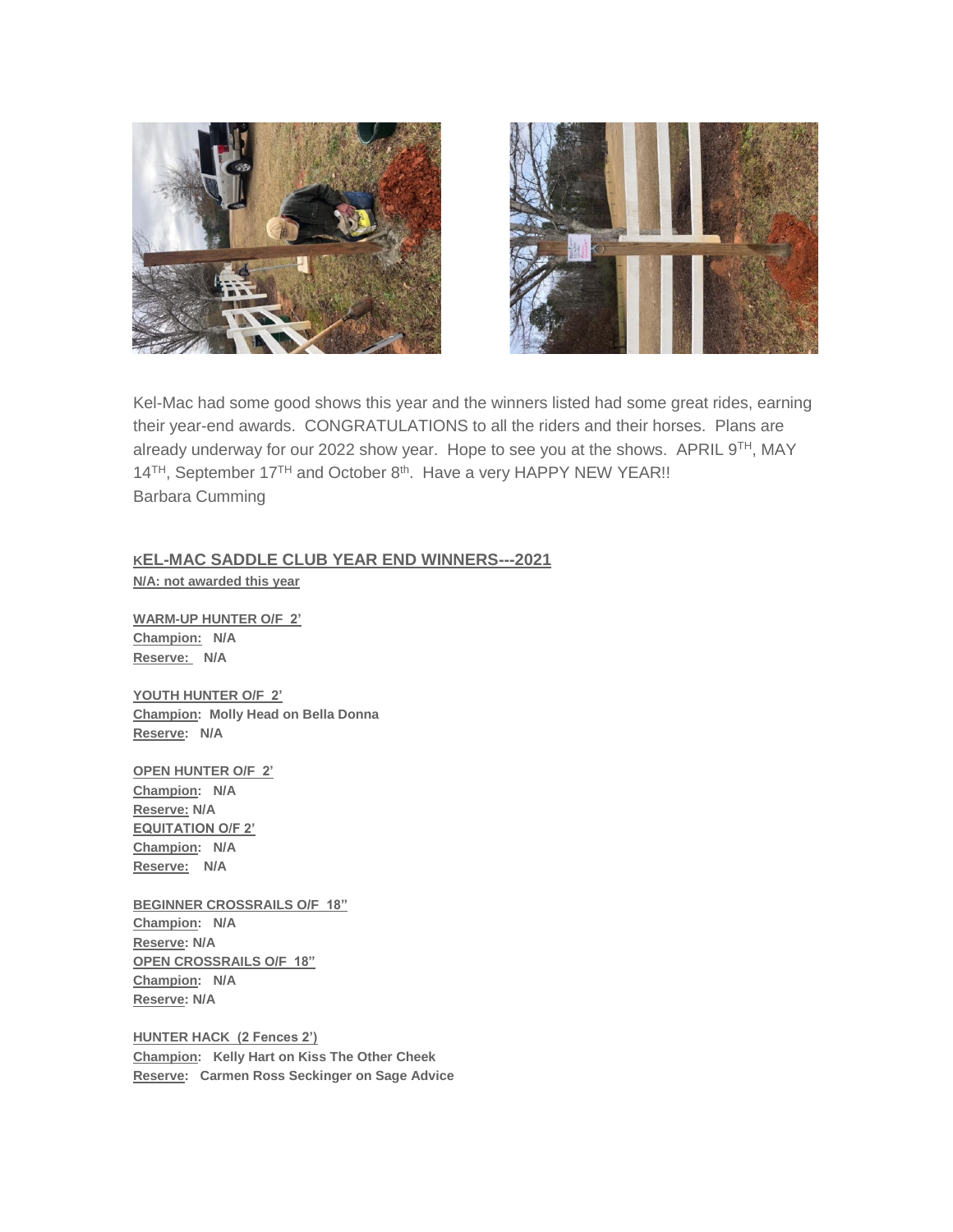



Kel-Mac had some good shows this year and the winners listed had some great rides, earning their year-end awards. CONGRATULATIONS to all the riders and their horses. Plans are already underway for our 2022 show year. Hope to see you at the shows. APRIL 9TH, MAY 14<sup>TH</sup>, September 17<sup>TH</sup> and October 8<sup>th</sup>. Have a very HAPPY NEW YEAR!! Barbara Cumming

# **KEL-MAC SADDLE CLUB YEAR END WINNERS---2021**

**N/A: not awarded this year**

**WARM-UP HUNTER O/F 2' Champion: N/A Reserve: N/A**

**YOUTH HUNTER O/F 2' Champion: Molly Head on Bella Donna Reserve: N/A**

**OPEN HUNTER O/F 2' Champion: N/A Reserve: N/A EQUITATION O/F 2' Champion: N/A Reserve: N/A**

**BEGINNER CROSSRAILS O/F 18" Champion: N/A Reserve: N/A OPEN CROSSRAILS O/F 18" Champion: N/A Reserve: N/A**

**HUNTER HACK (2 Fences 2') Champion: Kelly Hart on Kiss The Other Cheek Reserve: Carmen Ross Seckinger on Sage Advice**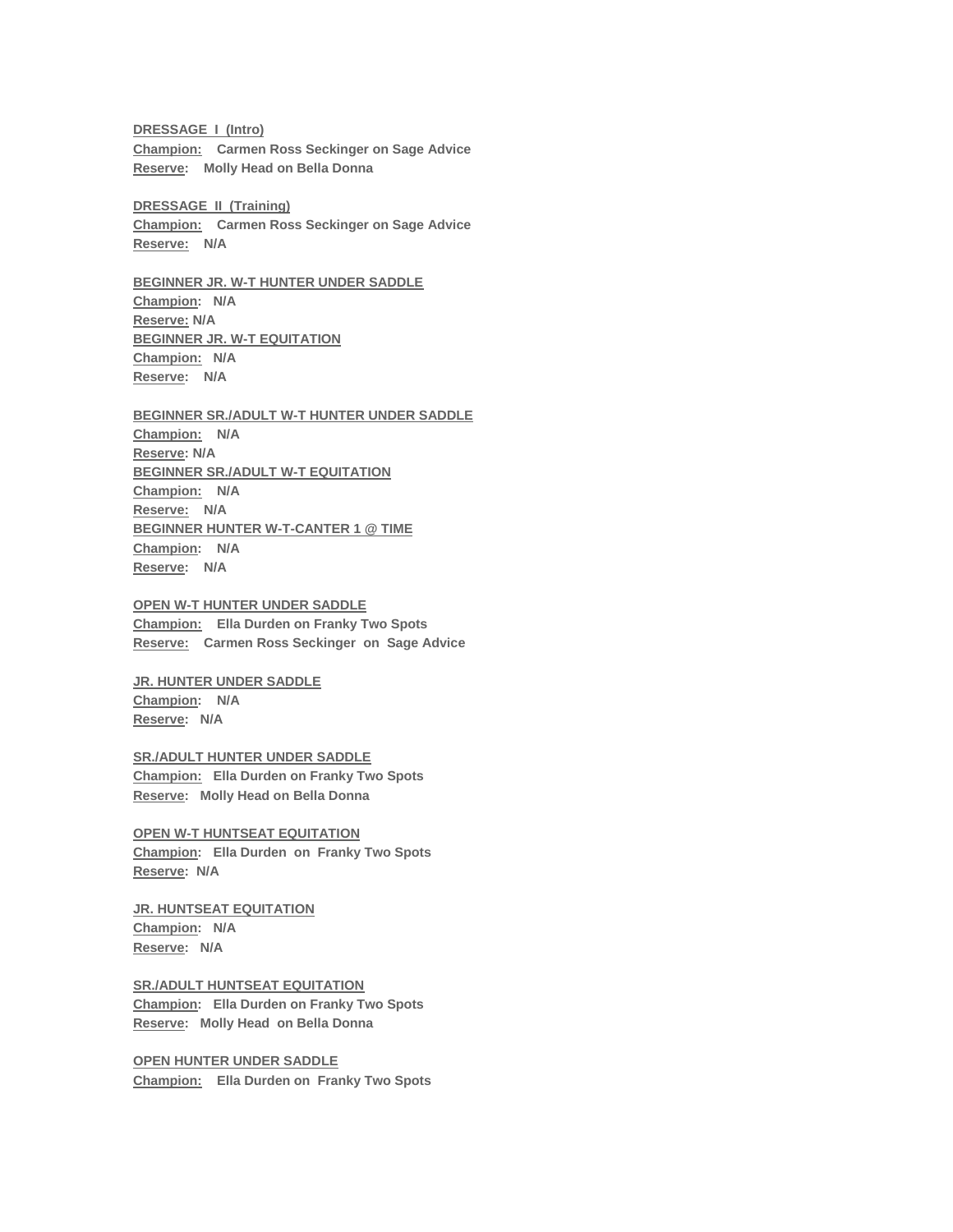**DRESSAGE I (Intro) Champion: Carmen Ross Seckinger on Sage Advice Reserve: Molly Head on Bella Donna**

**DRESSAGE II (Training) Champion: Carmen Ross Seckinger on Sage Advice Reserve: N/A**

**BEGINNER JR. W-T HUNTER UNDER SADDLE Champion: N/A Reserve: N/A BEGINNER JR. W-T EQUITATION Champion: N/A Reserve: N/A**

## **BEGINNER SR./ADULT W-T HUNTER UNDER SADDLE Champion: N/A Reserve: N/A BEGINNER SR./ADULT W-T EQUITATION Champion: N/A Reserve: N/A BEGINNER HUNTER W-T-CANTER 1 @ TIME Champion: N/A Reserve: N/A**

**OPEN W-T HUNTER UNDER SADDLE Champion: Ella Durden on Franky Two Spots Reserve: Carmen Ross Seckinger on Sage Advice**

**JR. HUNTER UNDER SADDLE Champion: N/A Reserve: N/A**

**SR./ADULT HUNTER UNDER SADDLE Champion: Ella Durden on Franky Two Spots Reserve: Molly Head on Bella Donna**

**OPEN W-T HUNTSEAT EQUITATION Champion: Ella Durden on Franky Two Spots Reserve: N/A**

**JR. HUNTSEAT EQUITATION Champion: N/A Reserve: N/A**

**SR./ADULT HUNTSEAT EQUITATION Champion: Ella Durden on Franky Two Spots Reserve: Molly Head on Bella Donna**

**OPEN HUNTER UNDER SADDLE Champion: Ella Durden on Franky Two Spots**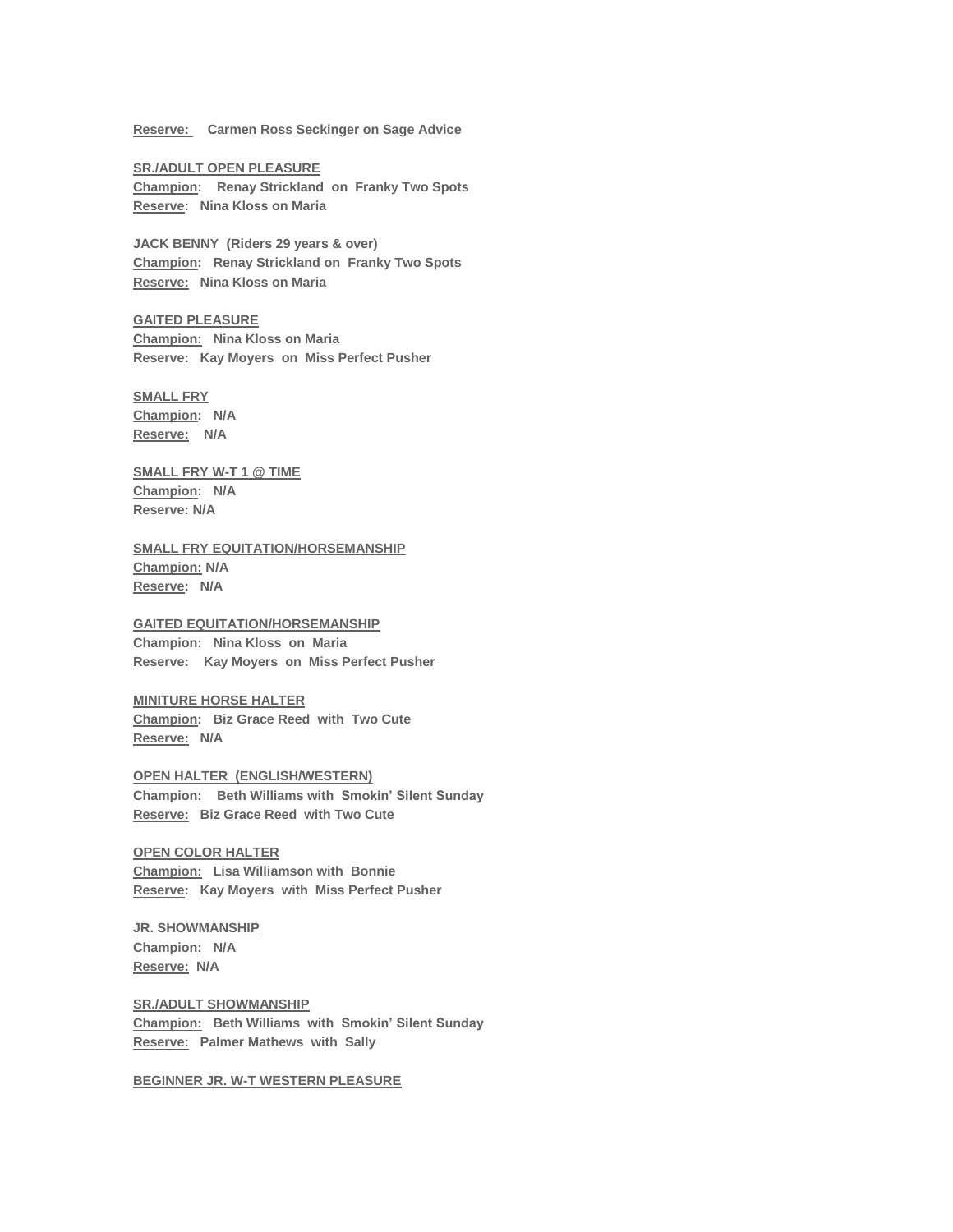**Reserve: Carmen Ross Seckinger on Sage Advice**

**SR./ADULT OPEN PLEASURE Champion: Renay Strickland on Franky Two Spots Reserve: Nina Kloss on Maria**

**JACK BENNY (Riders 29 years & over) Champion: Renay Strickland on Franky Two Spots Reserve: Nina Kloss on Maria**

**GAITED PLEASURE Champion: Nina Kloss on Maria Reserve: Kay Moyers on Miss Perfect Pusher**

**SMALL FRY Champion: N/A Reserve: N/A**

**SMALL FRY W-T 1 @ TIME Champion: N/A Reserve: N/A**

**SMALL FRY EQUITATION/HORSEMANSHIP Champion: N/A Reserve: N/A**

#### **GAITED EQUITATION/HORSEMANSHIP**

**Champion: Nina Kloss on Maria Reserve: Kay Moyers on Miss Perfect Pusher**

**MINITURE HORSE HALTER Champion: Biz Grace Reed with Two Cute Reserve: N/A**

**OPEN HALTER (ENGLISH/WESTERN) Champion: Beth Williams with Smokin' Silent Sunday Reserve: Biz Grace Reed with Two Cute**

**OPEN COLOR HALTER Champion: Lisa Williamson with Bonnie Reserve: Kay Moyers with Miss Perfect Pusher**

**JR. SHOWMANSHIP Champion: N/A Reserve: N/A**

**SR./ADULT SHOWMANSHIP Champion: Beth Williams with Smokin' Silent Sunday Reserve: Palmer Mathews with Sally**

**BEGINNER JR. W-T WESTERN PLEASURE**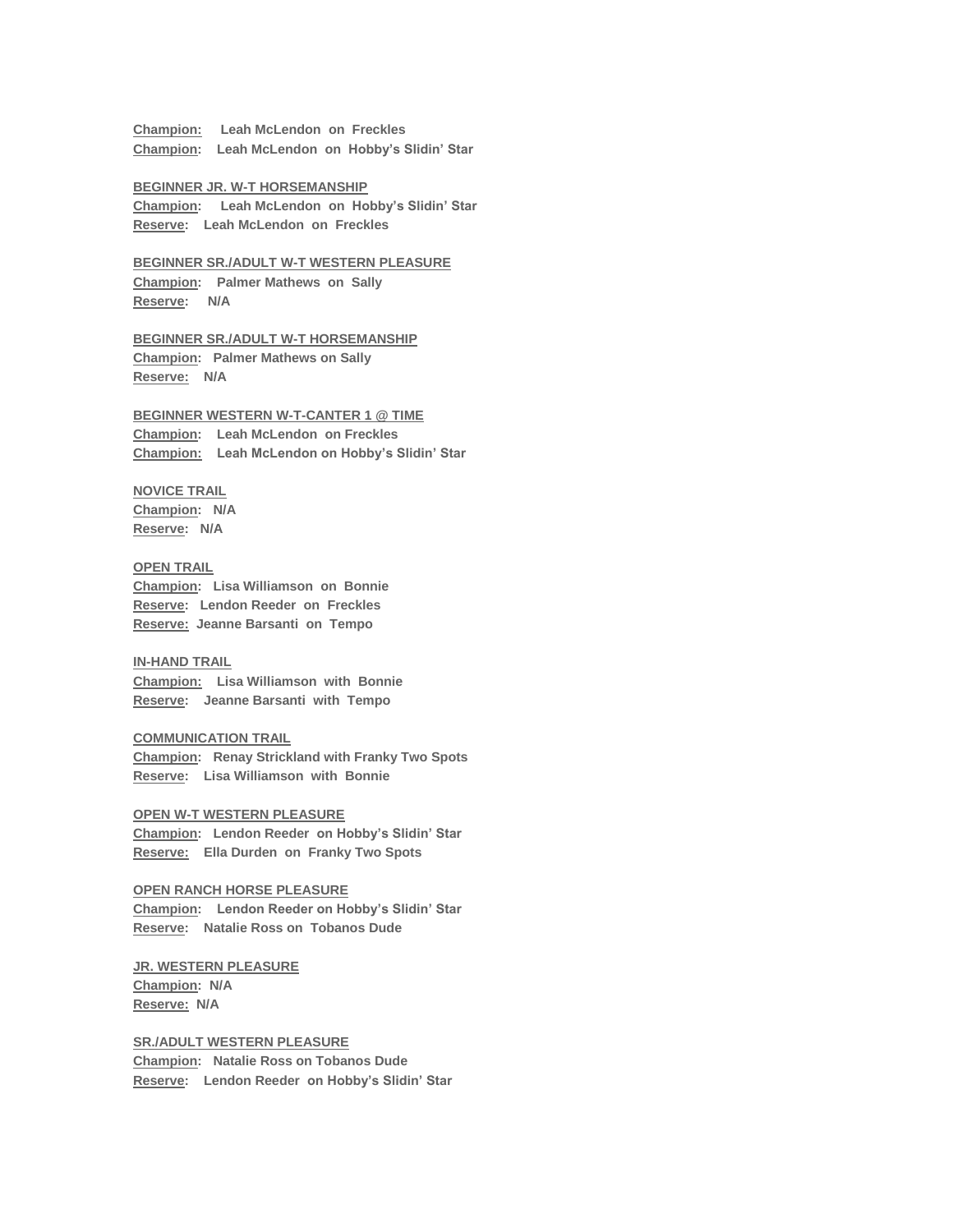**Champion: Leah McLendon on Freckles Champion: Leah McLendon on Hobby's Slidin' Star**

#### **BEGINNER JR. W-T HORSEMANSHIP**

**Champion: Leah McLendon on Hobby's Slidin' Star Reserve: Leah McLendon on Freckles**

**BEGINNER SR./ADULT W-T WESTERN PLEASURE Champion: Palmer Mathews on Sally**

**Reserve: N/A**

### **BEGINNER SR./ADULT W-T HORSEMANSHIP Champion: Palmer Mathews on Sally Reserve: N/A**

**BEGINNER WESTERN W-T-CANTER 1 @ TIME Champion: Leah McLendon on Freckles Champion: Leah McLendon on Hobby's Slidin' Star**

## **NOVICE TRAIL**

**Champion: N/A Reserve: N/A**

## **OPEN TRAIL**

**Champion: Lisa Williamson on Bonnie Reserve: Lendon Reeder on Freckles Reserve: Jeanne Barsanti on Tempo**

#### **IN-HAND TRAIL**

**Champion: Lisa Williamson with Bonnie Reserve: Jeanne Barsanti with Tempo**

#### **COMMUNICATION TRAIL**

**Champion: Renay Strickland with Franky Two Spots Reserve: Lisa Williamson with Bonnie**

## **OPEN W-T WESTERN PLEASURE**

**Champion: Lendon Reeder on Hobby's Slidin' Star Reserve: Ella Durden on Franky Two Spots**

#### **OPEN RANCH HORSE PLEASURE**

**Champion: Lendon Reeder on Hobby's Slidin' Star Reserve: Natalie Ross on Tobanos Dude**

**JR. WESTERN PLEASURE Champion: N/A Reserve: N/A**

#### **SR./ADULT WESTERN PLEASURE**

**Champion: Natalie Ross on Tobanos Dude Reserve: Lendon Reeder on Hobby's Slidin' Star**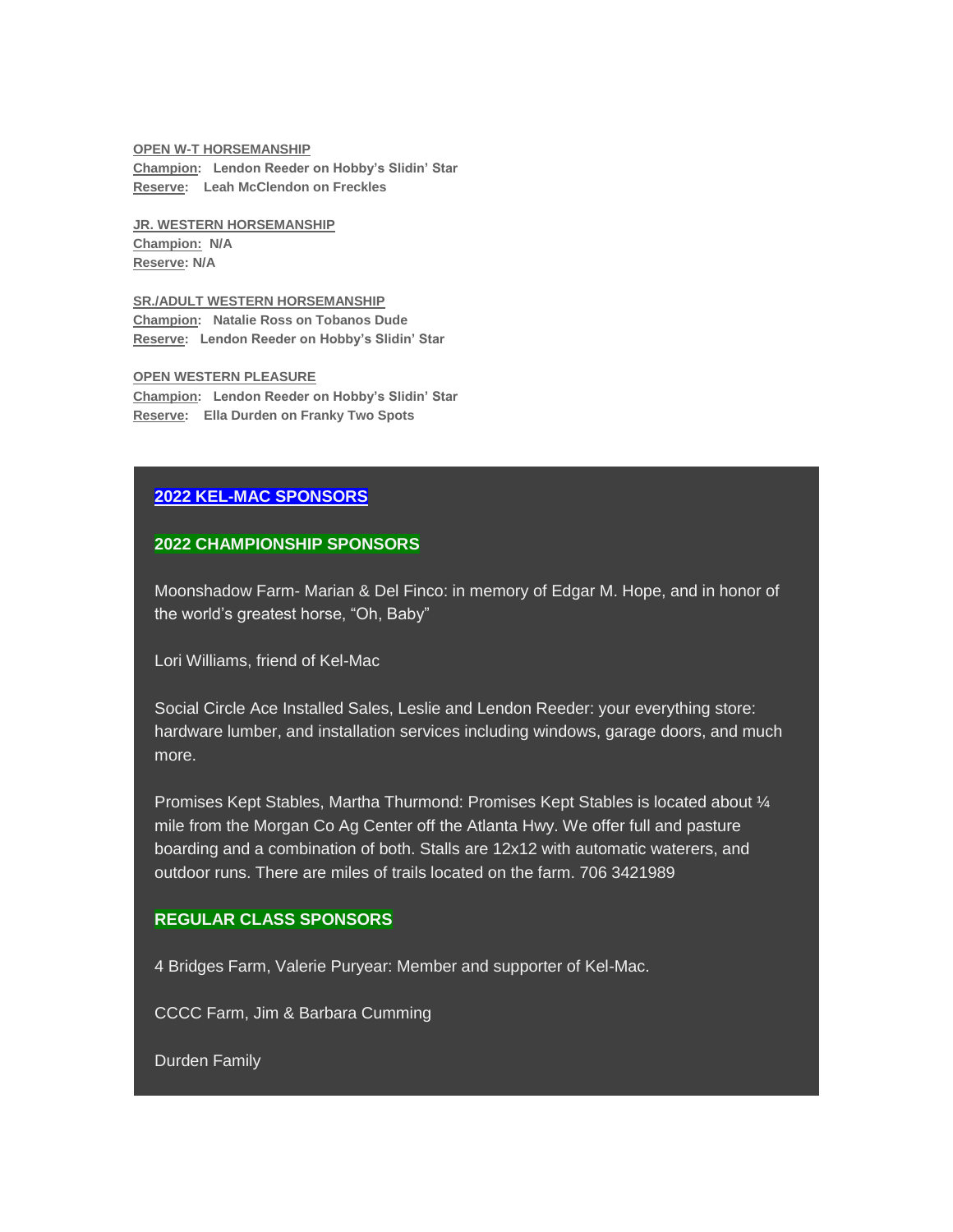#### **OPEN W-T HORSEMANSHIP**

**Champion: Lendon Reeder on Hobby's Slidin' Star Reserve: Leah McClendon on Freckles**

**JR. WESTERN HORSEMANSHIP Champion: N/A Reserve: N/A**

**SR./ADULT WESTERN HORSEMANSHIP Champion: Natalie Ross on Tobanos Dude Reserve: Lendon Reeder on Hobby's Slidin' Star**

**OPEN WESTERN PLEASURE Champion: Lendon Reeder on Hobby's Slidin' Star Reserve: Ella Durden on Franky Two Spots**

## **2022 KEL-MAC SPONSORS**

## **2022 CHAMPIONSHIP SPONSORS**

Moonshadow Farm- Marian & Del Finco: in memory of Edgar M. Hope, and in honor of the world's greatest horse, "Oh, Baby"

Lori Williams, friend of Kel-Mac

Social Circle Ace Installed Sales, Leslie and Lendon Reeder: your everything store: hardware lumber, and installation services including windows, garage doors, and much more.

Promises Kept Stables, Martha Thurmond: Promises Kept Stables is located about ¼ mile from the Morgan Co Ag Center off the Atlanta Hwy. We offer full and pasture boarding and a combination of both. Stalls are 12x12 with automatic waterers, and outdoor runs. There are miles of trails located on the farm. 706 3421989

# **REGULAR CLASS SPONSORS**

4 Bridges Farm, Valerie Puryear: Member and supporter of Kel-Mac.

CCCC Farm, Jim & Barbara Cumming

Durden Family